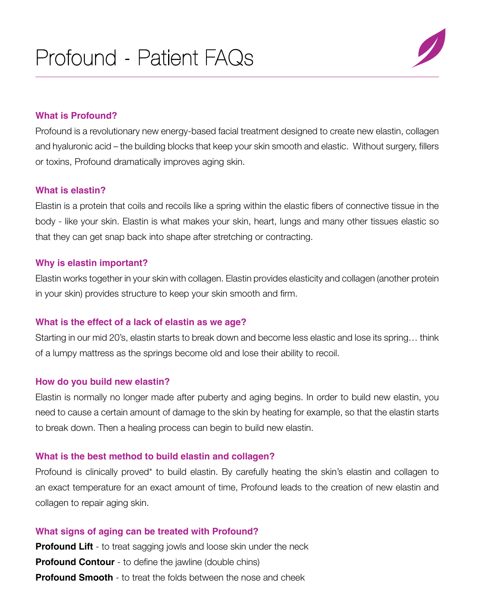## **What is Profound?**

Profound is a revolutionary new energy-based facial treatment designed to create new elastin, collagen and hyaluronic acid – the building blocks that keep your skin smooth and elastic. Without surgery, fillers or toxins, Profound dramatically improves aging skin.

## **What is elastin?**

Elastin is a protein that coils and recoils like a spring within the elastic fibers of connective tissue in the body - like your skin. Elastin is what makes your skin, heart, lungs and many other tissues elastic so that they can get snap back into shape after stretching or contracting.

## **Why is elastin important?**

Elastin works together in your skin with collagen. Elastin provides elasticity and collagen (another protein in your skin) provides structure to keep your skin smooth and firm.

# **What is the effect of a lack of elastin as we age?**

Starting in our mid 20's, elastin starts to break down and become less elastic and lose its spring… think of a lumpy mattress as the springs become old and lose their ability to recoil.

# **How do you build new elastin?**

Elastin is normally no longer made after puberty and aging begins. In order to build new elastin, you need to cause a certain amount of damage to the skin by heating for example, so that the elastin starts to break down. Then a healing process can begin to build new elastin.

# **What is the best method to build elastin and collagen?**

Profound is clinically proved\* to build elastin. By carefully heating the skin's elastin and collagen to an exact temperature for an exact amount of time, Profound leads to the creation of new elastin and collagen to repair aging skin.

# **What signs of aging can be treated with Profound?**

**Profound Lift** - to treat sagging jowls and loose skin under the neck **Profound Contour** - to define the jawline (double chins) **Profound Smooth** - to treat the folds between the nose and cheek